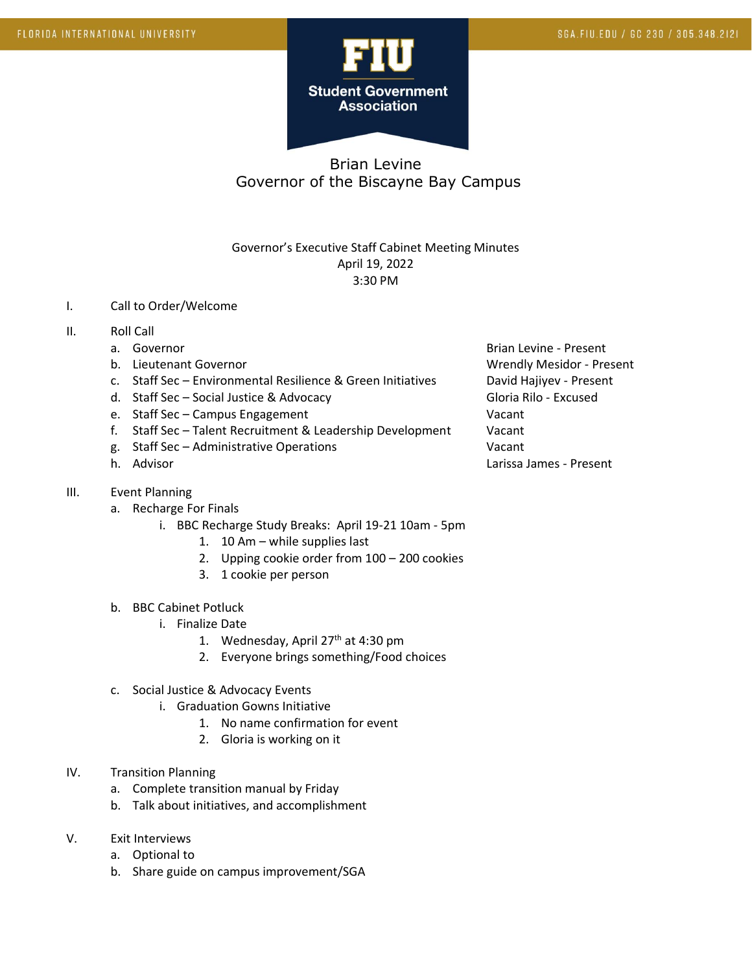

## Brian Levine Governor of the Biscayne Bay Campus

## Governor's Executive Staff Cabinet Meeting Minutes April 19, 2022 3:30 PM

- I. Call to Order/Welcome
- II. Roll Call
	-
	-
	- c. Staff Sec Environmental Resilience & Green Initiatives David Hajiyev Present
	- d. Staff Sec Social Justice & Advocacy Contract Contract Gloria Rilo Excused
	- e. Staff Sec Campus Engagement Vacant
	- f. Staff Sec Talent Recruitment & Leadership Development Vacant
	- g. Staff Sec Administrative Operations Vacant
	-
- III. Event Planning
	- a. Recharge For Finals
		- i. BBC Recharge Study Breaks: April 19-21 10am 5pm
			- 1. 10 Am while supplies last
			- 2. Upping cookie order from 100 200 cookies
			- 3. 1 cookie per person
	- b. BBC Cabinet Potluck
		- i. Finalize Date
			- 1. Wednesday, April 27<sup>th</sup> at 4:30 pm
			- 2. Everyone brings something/Food choices
	- c. Social Justice & Advocacy Events
		- i. Graduation Gowns Initiative
			- 1. No name confirmation for event
			- 2. Gloria is working on it
- IV. Transition Planning
	- a. Complete transition manual by Friday
	- b. Talk about initiatives, and accomplishment
- V. Exit Interviews
	- a. Optional to
	- b. Share guide on campus improvement/SGA

a. Governor **Brian Levine - Present** Brian Levine - Present b. Lieutenant Governor Christianus and Wrendly Mesidor - Present h. Advisor Larissa James - Present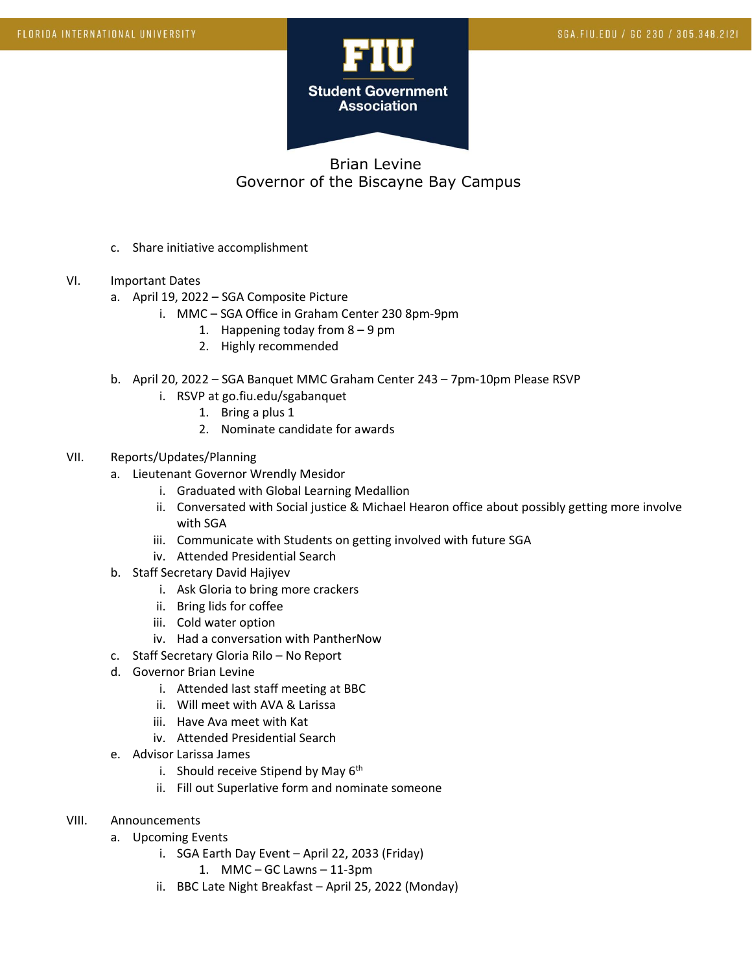

## Brian Levine Governor of the Biscayne Bay Campus

- c. Share initiative accomplishment
- VI. Important Dates
	- a. April 19, 2022 SGA Composite Picture
		- i. MMC SGA Office in Graham Center 230 8pm-9pm
			- 1. Happening today from 8 9 pm
			- 2. Highly recommended
	- b. April 20, 2022 SGA Banquet MMC Graham Center 243 7pm-10pm Please RSVP
		- i. RSVP at go.fiu.edu/sgabanquet
			- 1. Bring a plus 1
			- 2. Nominate candidate for awards
- VII. Reports/Updates/Planning
	- a. Lieutenant Governor Wrendly Mesidor
		- i. Graduated with Global Learning Medallion
		- ii. Conversated with Social justice & Michael Hearon office about possibly getting more involve with SGA
		- iii. Communicate with Students on getting involved with future SGA
		- iv. Attended Presidential Search
	- b. Staff Secretary David Hajiyev
		- i. Ask Gloria to bring more crackers
		- ii. Bring lids for coffee
		- iii. Cold water option
		- iv. Had a conversation with PantherNow
	- c. Staff Secretary Gloria Rilo No Report
	- d. Governor Brian Levine
		- i. Attended last staff meeting at BBC
		- ii. Will meet with AVA & Larissa
		- iii. Have Ava meet with Kat
		- iv. Attended Presidential Search
	- e. Advisor Larissa James
		- i. Should receive Stipend by May  $6<sup>th</sup>$
		- ii. Fill out Superlative form and nominate someone
- VIII. Announcements
	- a. Upcoming Events
		- i. SGA Earth Day Event April 22, 2033 (Friday)
			- 1. MMC GC Lawns 11-3pm
		- ii. BBC Late Night Breakfast April 25, 2022 (Monday)